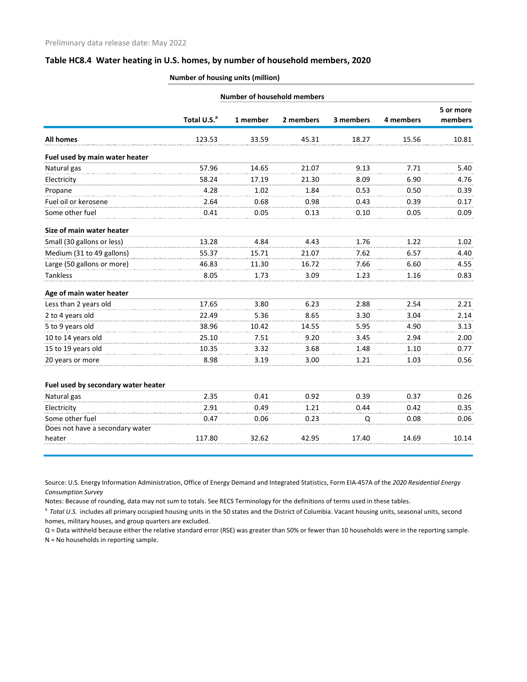## **Table HC8.4 Water heating in U.S. homes, by number of household members, 2020**

## **Number of housing units (million)**

|                                     | <b>Number of household members</b> |          |           |           |           |                      |  |  |  |
|-------------------------------------|------------------------------------|----------|-----------|-----------|-----------|----------------------|--|--|--|
|                                     | Total U.S. <sup>a</sup>            | 1 member | 2 members | 3 members | 4 members | 5 or more<br>members |  |  |  |
| <b>All homes</b>                    | 123.53                             | 33.59    | 45.31     | 18.27     | 15.56     | 10.81                |  |  |  |
| Fuel used by main water heater      |                                    |          |           |           |           |                      |  |  |  |
| Natural gas                         | 57.96                              | 14.65    | 21.07     | 9.13      | 7.71      | 5.40                 |  |  |  |
| Electricity                         | 58.24                              | 17.19    | 21.30     | 8.09      | 6.90      | 4.76                 |  |  |  |
| Propane                             | 4.28                               | 1.02     | 1.84      | 0.53      | 0.50      | 0.39                 |  |  |  |
| Fuel oil or kerosene                | 2.64                               | 0.68     | 0.98      | 0.43      | 0.39      | 0.17                 |  |  |  |
| Some other fuel                     | 0.41                               | 0.05     | 0.13      | 0.10      | 0.05      | 0.09                 |  |  |  |
| Size of main water heater           |                                    |          |           |           |           |                      |  |  |  |
| Small (30 gallons or less)          | 13.28                              | 4.84     | 4.43      | 1.76      | 1.22      | 1.02                 |  |  |  |
| Medium (31 to 49 gallons)           | 55.37                              | 15.71    | 21.07     | 7.62      | 6.57      | 4.40                 |  |  |  |
| Large (50 gallons or more)          | 46.83                              | 11.30    | 16.72     | 7.66      | 6.60      | 4.55                 |  |  |  |
| <b>Tankless</b>                     | 8.05                               | 1.73     | 3.09      | 1.23      | 1.16      | 0.83                 |  |  |  |
| Age of main water heater            |                                    |          |           |           |           |                      |  |  |  |
| Less than 2 years old               | 17.65                              | 3.80     | 6.23      | 2.88      | 2.54      | 2.21                 |  |  |  |
| 2 to 4 years old                    | 22.49                              | 5.36     | 8.65      | 3.30      | 3.04      | 2.14                 |  |  |  |
| 5 to 9 years old                    | 38.96                              | 10.42    | 14.55     | 5.95      | 4.90      | 3.13                 |  |  |  |
| 10 to 14 years old                  | 25.10                              | 7.51     | 9.20      | 3.45      | 2.94      | 2.00                 |  |  |  |
| 15 to 19 years old                  | 10.35                              | 3.32     | 3.68      | 1.48      | 1.10      | 0.77                 |  |  |  |
| 20 years or more                    | 8.98                               | 3.19     | 3.00      | 1.21      | 1.03      | 0.56                 |  |  |  |
| Fuel used by secondary water heater |                                    |          |           |           |           |                      |  |  |  |
| Natural gas                         | 2.35                               | 0.41     | 0.92      | 0.39      | 0.37      | 0.26                 |  |  |  |
| Electricity                         | 2.91                               | 0.49     | 1.21      | 0.44      | 0.42      | 0.35                 |  |  |  |
| Some other fuel                     | 0.47                               | 0.06     | 0.23      | Q         | 0.08      | 0.06                 |  |  |  |
| Does not have a secondary water     |                                    |          |           |           |           |                      |  |  |  |
| heater                              | 117.80                             | 32.62    | 42.95     | 17.40     | 14.69     | 10.14                |  |  |  |
|                                     |                                    |          |           |           |           |                      |  |  |  |

Source: U.S. Energy Information Administration, Office of Energy Demand and Integrated Statistics, Form EIA-457A of the *2020 Residential Energy Consumption Survey*

Notes: Because of rounding, data may not sum to totals. See RECS Terminology for the definitions of terms used in these tables.

<sup>a</sup> Total U.S. includes all primary occupied housing units in the 50 states and the District of Columbia. Vacant housing units, seasonal units, second homes, military houses, and group quarters are excluded.

Q = Data withheld because either the relative standard error (RSE) was greater than 50% or fewer than 10 households were in the reporting sample. N = No households in reporting sample.